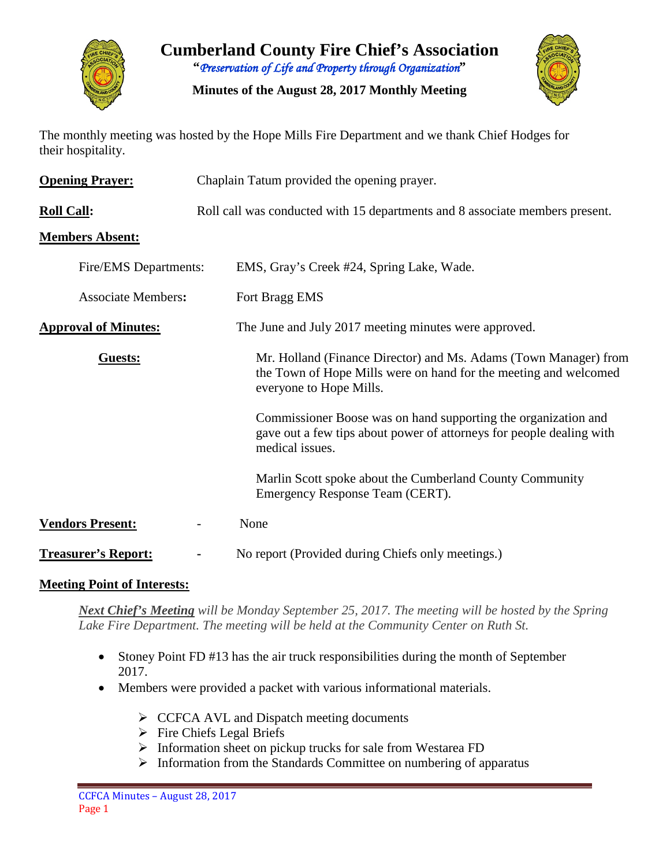

**Cumberland County Fire Chief's Association "***Preservation of Life and Property through Organization***"**

**Minutes of the August 28, 2017 Monthly Meeting**



The monthly meeting was hosted by the Hope Mills Fire Department and we thank Chief Hodges for their hospitality.

| <b>Opening Prayer:</b>      | Chaplain Tatum provided the opening prayer. |                                                                                                                                                                 |  |  |  |  |  |  |  |
|-----------------------------|---------------------------------------------|-----------------------------------------------------------------------------------------------------------------------------------------------------------------|--|--|--|--|--|--|--|
| <b>Roll Call:</b>           |                                             | Roll call was conducted with 15 departments and 8 associate members present.                                                                                    |  |  |  |  |  |  |  |
| <b>Members Absent:</b>      |                                             |                                                                                                                                                                 |  |  |  |  |  |  |  |
| Fire/EMS Departments:       |                                             | EMS, Gray's Creek #24, Spring Lake, Wade.                                                                                                                       |  |  |  |  |  |  |  |
| <b>Associate Members:</b>   |                                             | Fort Bragg EMS                                                                                                                                                  |  |  |  |  |  |  |  |
| <b>Approval of Minutes:</b> |                                             | The June and July 2017 meeting minutes were approved.                                                                                                           |  |  |  |  |  |  |  |
| Guests:                     |                                             | Mr. Holland (Finance Director) and Ms. Adams (Town Manager) from<br>the Town of Hope Mills were on hand for the meeting and welcomed<br>everyone to Hope Mills. |  |  |  |  |  |  |  |
|                             |                                             | Commissioner Boose was on hand supporting the organization and<br>gave out a few tips about power of attorneys for people dealing with<br>medical issues.       |  |  |  |  |  |  |  |
|                             |                                             | Marlin Scott spoke about the Cumberland County Community<br>Emergency Response Team (CERT).                                                                     |  |  |  |  |  |  |  |
| <b>Vendors Present:</b>     |                                             | None                                                                                                                                                            |  |  |  |  |  |  |  |
| <b>Treasurer's Report:</b>  |                                             | No report (Provided during Chiefs only meetings.)                                                                                                               |  |  |  |  |  |  |  |

#### **Meeting Point of Interests:**

*Next Chief's Meeting will be Monday September 25, 2017. The meeting will be hosted by the Spring Lake Fire Department. The meeting will be held at the Community Center on Ruth St.*

- Stoney Point FD #13 has the air truck responsibilities during the month of September 2017.
- Members were provided a packet with various informational materials.
	- $\triangleright$  CCFCA AVL and Dispatch meeting documents
	- $\triangleright$  Fire Chiefs Legal Briefs
	- $\triangleright$  Information sheet on pickup trucks for sale from Westarea FD
	- $\triangleright$  Information from the Standards Committee on numbering of apparatus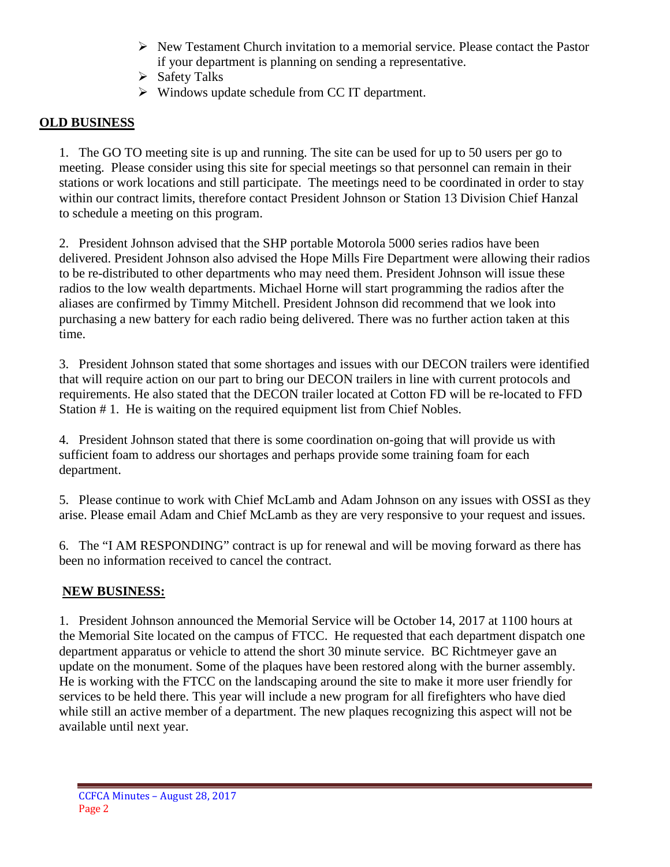- $\triangleright$  New Testament Church invitation to a memorial service. Please contact the Pastor if your department is planning on sending a representative.
- $\triangleright$  Safety Talks
- $\triangleright$  Windows update schedule from CC IT department.

## **OLD BUSINESS**

1. The GO TO meeting site is up and running. The site can be used for up to 50 users per go to meeting. Please consider using this site for special meetings so that personnel can remain in their stations or work locations and still participate. The meetings need to be coordinated in order to stay within our contract limits, therefore contact President Johnson or Station 13 Division Chief Hanzal to schedule a meeting on this program.

2. President Johnson advised that the SHP portable Motorola 5000 series radios have been delivered. President Johnson also advised the Hope Mills Fire Department were allowing their radios to be re-distributed to other departments who may need them. President Johnson will issue these radios to the low wealth departments. Michael Horne will start programming the radios after the aliases are confirmed by Timmy Mitchell. President Johnson did recommend that we look into purchasing a new battery for each radio being delivered. There was no further action taken at this time.

3. President Johnson stated that some shortages and issues with our DECON trailers were identified that will require action on our part to bring our DECON trailers in line with current protocols and requirements. He also stated that the DECON trailer located at Cotton FD will be re-located to FFD Station # 1. He is waiting on the required equipment list from Chief Nobles.

4. President Johnson stated that there is some coordination on-going that will provide us with sufficient foam to address our shortages and perhaps provide some training foam for each department.

5. Please continue to work with Chief McLamb and Adam Johnson on any issues with OSSI as they arise. Please email Adam and Chief McLamb as they are very responsive to your request and issues.

6. The "I AM RESPONDING" contract is up for renewal and will be moving forward as there has been no information received to cancel the contract.

## **NEW BUSINESS:**

1. President Johnson announced the Memorial Service will be October 14, 2017 at 1100 hours at the Memorial Site located on the campus of FTCC. He requested that each department dispatch one department apparatus or vehicle to attend the short 30 minute service. BC Richtmeyer gave an update on the monument. Some of the plaques have been restored along with the burner assembly. He is working with the FTCC on the landscaping around the site to make it more user friendly for services to be held there. This year will include a new program for all firefighters who have died while still an active member of a department. The new plaques recognizing this aspect will not be available until next year.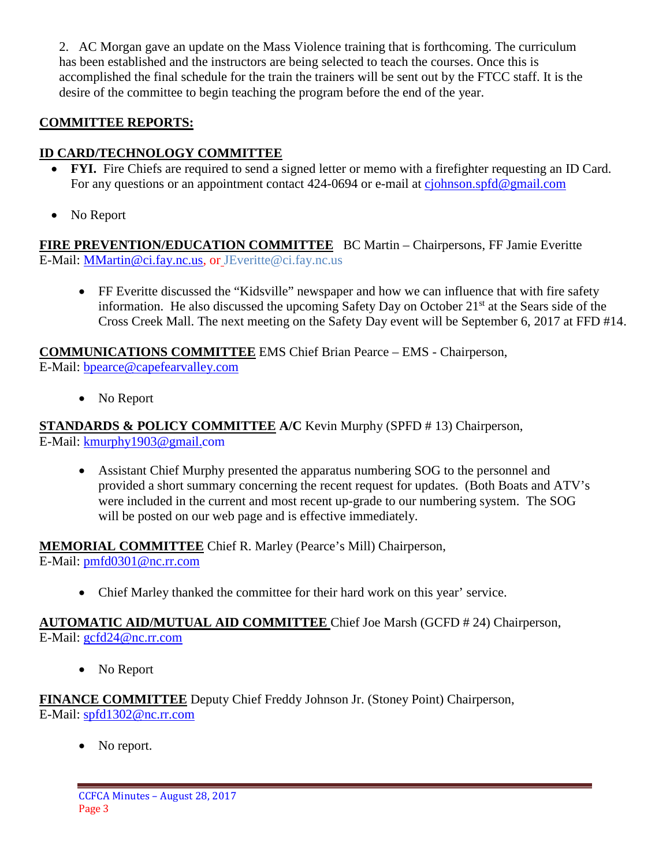2. AC Morgan gave an update on the Mass Violence training that is forthcoming. The curriculum has been established and the instructors are being selected to teach the courses. Once this is accomplished the final schedule for the train the trainers will be sent out by the FTCC staff. It is the desire of the committee to begin teaching the program before the end of the year.

# **COMMITTEE REPORTS:**

# **ID CARD/TECHNOLOGY COMMITTEE**

- **FYI.** Fire Chiefs are required to send a signed letter or memo with a firefighter requesting an ID Card. For any questions or an appointment contact 424-0694 or e-mail at [cjohnson.spfd@gmail.com](mailto:cjohnson.spfd@gmail.com)
- No Report

**FIRE PREVENTION/EDUCATION COMMITTEE** BC Martin – Chairpersons, FF Jamie Everitte E-Mail: [MMartin@ci.fay.nc.us,](mailto:MMartin@ci.fay.nc.us) or JEveritte@ci.fay.nc.us

• FF Everitte discussed the "Kidsville" newspaper and how we can influence that with fire safety information. He also discussed the upcoming Safety Day on October  $21<sup>st</sup>$  at the Sears side of the Cross Creek Mall. The next meeting on the Safety Day event will be September 6, 2017 at FFD #14.

**COMMUNICATIONS COMMITTEE** EMS Chief Brian Pearce – EMS - Chairperson, E-Mail: [bpearce@capefearvalley.com](mailto:bpearce@capefearvalley.com)

• No Report

**STANDARDS & POLICY COMMITTEE A/C** Kevin Murphy (SPFD # 13) Chairperson, E-Mail: [kmurphy1903@gmail.com](mailto:kmurphy1903@gmail.com)

• Assistant Chief Murphy presented the apparatus numbering SOG to the personnel and provided a short summary concerning the recent request for updates. (Both Boats and ATV's were included in the current and most recent up-grade to our numbering system. The SOG will be posted on our web page and is effective immediately.

**MEMORIAL COMMITTEE** Chief R. Marley (Pearce's Mill) Chairperson, E-Mail: [pmfd0301@nc.rr.com](mailto:pmfd0301@nc.rr.com)

• Chief Marley thanked the committee for their hard work on this year' service.

### **AUTOMATIC AID/MUTUAL AID COMMITTEE** Chief Joe Marsh (GCFD # 24) Chairperson, E-Mail: [gcfd24@nc.rr.com](mailto:gcfd24@nc.rr.com)

• No Report

**FINANCE COMMITTEE** Deputy Chief Freddy Johnson Jr. (Stoney Point) Chairperson, E-Mail: [spfd1302@nc.rr.com](mailto:spfd1302@nc.rr.com)

• No report.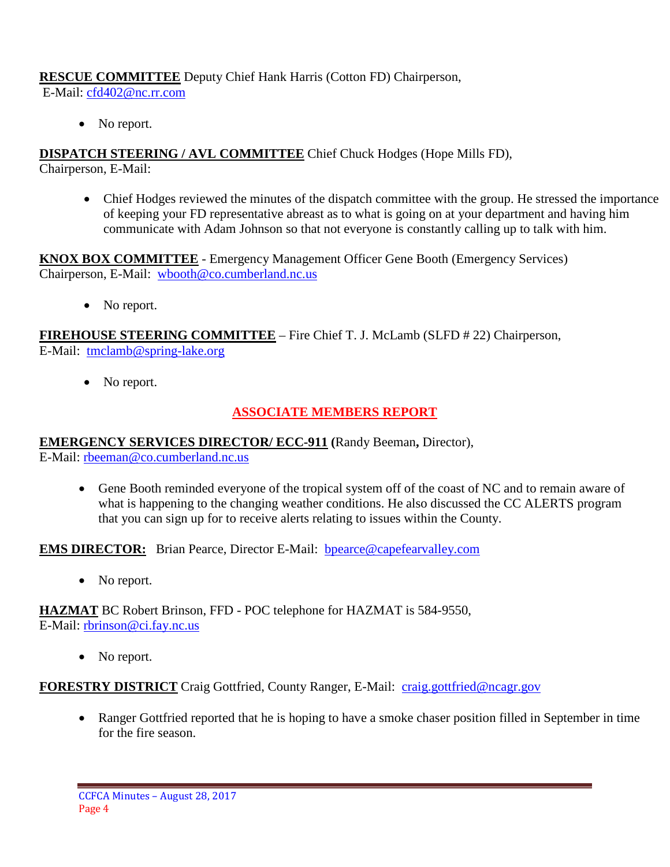## **RESCUE COMMITTEE** Deputy Chief Hank Harris (Cotton FD) Chairperson,

E-Mail: [cfd402@nc.rr.com](mailto:cfd402@nc.rr.com)

• No report.

**DISPATCH STEERING / AVL COMMITTEE** Chief Chuck Hodges (Hope Mills FD), Chairperson, E-Mail:

• Chief Hodges reviewed the minutes of the dispatch committee with the group. He stressed the importance of keeping your FD representative abreast as to what is going on at your department and having him communicate with Adam Johnson so that not everyone is constantly calling up to talk with him.

**KNOX BOX COMMITTEE** - Emergency Management Officer Gene Booth (Emergency Services) Chairperson, E-Mail: [wbooth@co.cumberland.nc.us](mailto:wbooth@co.cumberland.nc.us)

• No report.

**FIREHOUSE STEERING COMMITTEE** – Fire Chief T. J. McLamb (SLFD # 22) Chairperson, E-Mail: [tmclamb@spring-lake.org](mailto:tmclamb@spring-lake.org)

• No report.

## **ASSOCIATE MEMBERS REPORT**

## **EMERGENCY SERVICES DIRECTOR/ ECC-911 (**Randy Beeman**,** Director),

E-Mail: [rbeeman@co.cumberland.nc.us](mailto:rbeeman@co.cumberland.nc.us)

• Gene Booth reminded everyone of the tropical system off of the coast of NC and to remain aware of what is happening to the changing weather conditions. He also discussed the CC ALERTS program that you can sign up for to receive alerts relating to issues within the County.

**EMS DIRECTOR:** Brian Pearce, Director E-Mail: bpearce@capefearvalley.com

• No report.

**HAZMAT** BC Robert Brinson, FFD - POC telephone for HAZMAT is 584-9550, E-Mail: [rbrinson@ci.fay.nc.us](mailto:rbrinson@ci.fay.nc.us)

• No report.

**FORESTRY DISTRICT** Craig Gottfried, County Ranger, E-Mail: [craig.gottfried@ncagr.gov](mailto:craig.gottfried@ncagr.gov)

• Ranger Gottfried reported that he is hoping to have a smoke chaser position filled in September in time for the fire season.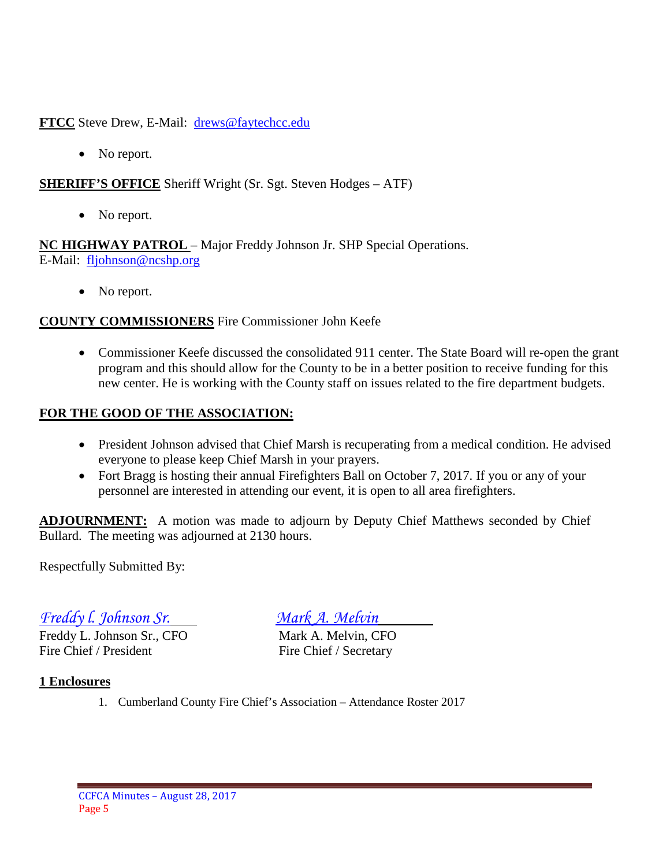**FTCC** Steve Drew, E-Mail: [drews@faytechcc.edu](mailto:drews@faytechcc.edu)

• No report.

## **SHERIFF'S OFFICE** Sheriff Wright (Sr. Sgt. Steven Hodges – ATF)

• No report.

**NC HIGHWAY PATROL** – Major Freddy Johnson Jr. SHP Special Operations. E-Mail: [fljohnson@ncshp.org](mailto:fljohnson@ncshp.org)

• No report.

### **COUNTY COMMISSIONERS** Fire Commissioner John Keefe

• Commissioner Keefe discussed the consolidated 911 center. The State Board will re-open the grant program and this should allow for the County to be in a better position to receive funding for this new center. He is working with the County staff on issues related to the fire department budgets.

### **FOR THE GOOD OF THE ASSOCIATION:**

- President Johnson advised that Chief Marsh is recuperating from a medical condition. He advised everyone to please keep Chief Marsh in your prayers.
- Fort Bragg is hosting their annual Firefighters Ball on October 7, 2017. If you or any of your personnel are interested in attending our event, it is open to all area firefighters.

**ADJOURNMENT:** A motion was made to adjourn by Deputy Chief Matthews seconded by Chief Bullard. The meeting was adjourned at 2130 hours.

Respectfully Submitted By:

*Freddy l. Johnson Sr. Mark A. Melvin*

Freddy L. Johnson Sr., CFO Mark A. Melvin, CFO Fire Chief / President Fire Chief / Secretary

#### **1 Enclosures**

1. Cumberland County Fire Chief's Association – Attendance Roster 2017